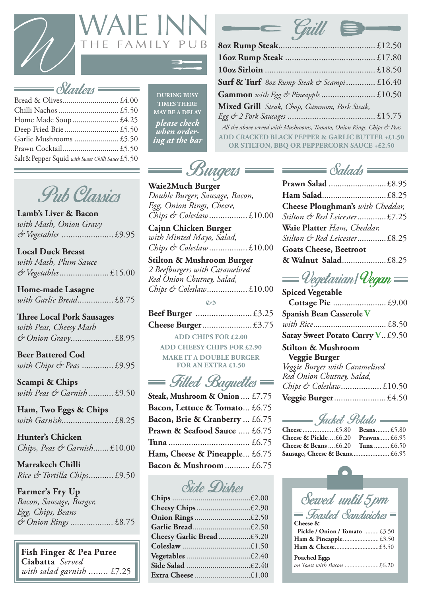

 Bread & Olives............................ £4.00 Chilli Nachos.............................. £5.50 Home Made Soup....................... £4.25 Deep Fried Brie........................... £5.50 Garlic Mushrooms ...................... £5.50 Prawn Cocktail............................ £5.50



Salt & Pepper Squid *with Sweet Chilli Sauce* £5.50

| <b>Surf &amp; Turf</b> 80z Rump Steak & Scampi£16.40                                          |
|-----------------------------------------------------------------------------------------------|
|                                                                                               |
| Mixed Grill Steak, Chop, Gammon, Pork Steak,                                                  |
|                                                                                               |
| All the above served with Mushrooms, Tomato, Onion Rings, Chips & Peas                        |
| ADD CRACKED BLACK PEPPER & GARLIC BUTTER +£1.50<br>OR STILTON, BBQ OR PEPPERCORN SAUCE +£2.50 |

| <b>DURING BUSY</b>                 |
|------------------------------------|
| <b>TIMES THERE</b>                 |
| <b>MAY BE A DELAY</b>              |
| please check<br><u>when</u> order- |
| <u>ing at the bar</u>              |



**Lamb's Liver & Bacon** *with Mash, Onion Gravy & Vegetables* ....................... £9.95

**Local Duck Breast** *with Mash, Plum Sauce & Vegetables*...................... £15.00

**Home-made Lasagne** *with Garlic Bread*................ £8.75

**Three Local Pork Sausages**

| with Peas, Cheesy Mash |  |
|------------------------|--|
|                        |  |

**Beer Battered Cod** *with Chips & Peas* .............. £9.95

**Scampi & Chips** *with Peas & Garnish* ........... £9.50

**Ham, Two Eggs & Chips** *with Garnish*....................... £8.25

**Hunter's Chicken** *Chips, Peas & Garnish*....... £10.00

**Marrakech Chilli** *Rice & Tortilla Chips*........... £9.50

**Farmer's Fry Up**  *Bacon, Sausage, Burger, Egg, Chips, Beans & Onion Rings ...................* £8.75

**Fish Finger & Pea Puree Ciabatta** *Served with salad garnish ........* £7.25



**Waie2Much Burger** *Double Burger, Sausage, Bacon, Egg, Onion Rings, Cheese, Chips & Coleslaw*................. £10.00

**Cajun Chicken Burger**  *with Minted Mayo, Salad, Chips & Coleslaw*................. £10.00

Side Dishes **Chips** .......................................£2.00 **Cheesy Chips**...........................£2.90 **Onion Rings**............................£2.50 **Garlic Bread**.............................£2.50 **Cheesy Garlic Bread**................£3.20 **Coleslaw** ..................................£1.50 **Vegetables**................................£2.40 **Side Salad** ................................£2.40 **Extra Cheese** ............................£1.00

**Stilton & Mushroom Burger**  *2 Beefburgers with Caramelised Red Onion Chutney, Salad, Chips & Coleslaw*.................. £10.00

**2**

**ADD CHIPS FOR £2.00 ADD CHEESY CHIPS FOR £2.90 MAKE IT A DOUBLE BURGER FOR AN EXTRA £1.50**

== Filled Baquettes

| Cheese Ploughman's with Cheddar, |
|----------------------------------|
| Stilton & Red Leicester£7.25     |
| Waie Platter Ham, Cheddar,       |
| Stilton & Red Leicester£8.25     |
| <b>Goats Cheese, Beetroot</b>    |

| Godis Cheese, Dechool |  |
|-----------------------|--|
|                       |  |



| Cheese & Pickle $\text{\pounds}6.20$ Prawns $\text{\pounds}6.95$ |
|------------------------------------------------------------------|
| <b>Cheese &amp; Beans</b> $\pounds 6.20$ Tuna $\pounds 6.50$     |
|                                                                  |

**Sausage, Cheese & Beans**...................... £6.95 Sewed until 5pm *= Toasted Sandwiches* = **Cheese & Pickle / Onion / Tomato** ......... £3.50 **Ham & Pineapple**...................... £3.50 **Ham & Cheese**...........................£3.50 **Poached Eggs**  *on Toast with Bacon* .....................£6.20

| <b>Spiced Vegetable</b>                  |  |
|------------------------------------------|--|
|                                          |  |
| <b>Spanish Bean Casserole V</b>          |  |
|                                          |  |
| <b>Satay Sweet Potato Curry V. £9.50</b> |  |
|                                          |  |

**Stilton & Mushroom Veggie Burger**  *Veggie Burger with Caramelised Red Onion Chutney, Salad, Chips & Coleslaw*.................. £10.50

Jacket Potato

**Steak, Mushroom & Onion** .... £7.75 **Veggie Burger**....................... £4.50 **Bacon, Lettuce & Tomato**... £6.75 **Bacon, Brie & Cranberry** ... £6.75 **Prawn & Seafood Sauce** ..... £6.75 **Tuna** .................................... £6.75 **Ham, Cheese & Pineapple**... £6.75 **Bacon & Mushroom**........... £6.75

|  | UAAS |  |
|--|------|--|
|--|------|--|